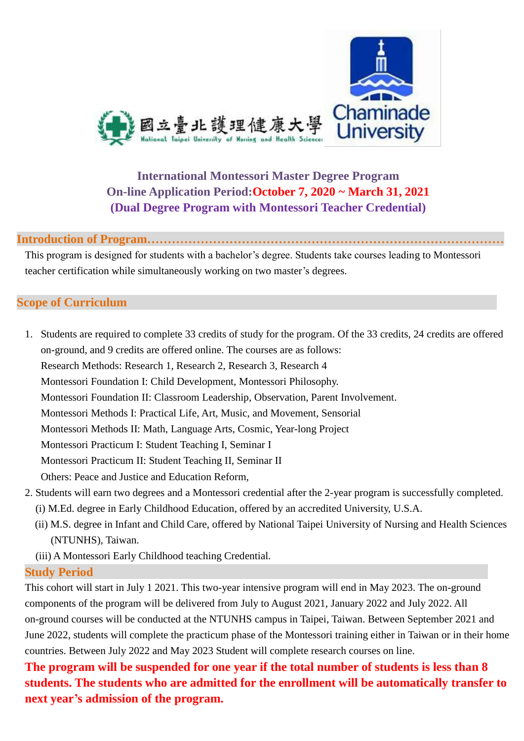

# **International Montessori Master Degree Program On-line Application Period:October 7, 2020 ~ March 31, 2021 (Dual Degree Program with Montessori Teacher Credential)**

#### **Introduction of Program……………………………………………………………………………**

This program is designed for students with a bachelor's degree. Students take courses leading to Montessori teacher certification while simultaneously working on two master's degrees.

### **Scope of Curriculum**

1. Students are required to complete 33 credits of study for the program. Of the 33 credits, 24 credits are offered on-ground, and 9 credits are offered online. The courses are as follows: Research Methods: Research 1, Research 2, Research 3, Research 4 Montessori Foundation I: Child Development, Montessori Philosophy. Montessori Foundation II: Classroom Leadership, Observation, Parent Involvement.

Montessori Methods I: Practical Life, Art, Music, and Movement, Sensorial

Montessori Methods II: Math, Language Arts, Cosmic, Year-long Project

Montessori Practicum I: Student Teaching I, Seminar I

Montessori Practicum II: Student Teaching II, Seminar II

- Others: Peace and Justice and Education Reform,
- 2. Students will earn two degrees and a Montessori credential after the 2-year program is successfully completed. (i) M.Ed. degree in Early Childhood Education, offered by an accredited University, U.S.A.
	- (ii) M.S. degree in Infant and Child Care, offered by National Taipei University of Nursing and Health Sciences (NTUNHS), Taiwan.
	- (iii) A Montessori Early Childhood teaching Credential.

#### **Study Period**

This cohort will start in July 1 2021. This two-year intensive program will end in May 2023. The on-ground components of the program will be delivered from July to August 2021, January 2022 and July 2022. All on-ground courses will be conducted at the NTUNHS campus in Taipei, Taiwan. Between September 2021 and June 2022, students will complete the practicum phase of the Montessori training either in Taiwan or in their home countries. Between July 2022 and May 2023 Student will complete research courses on line.

**The program will be suspended for one year if the total number of students is less than 8 students. The students who are admitted for the enrollment will be automatically transfer to next year's admission of the program.**